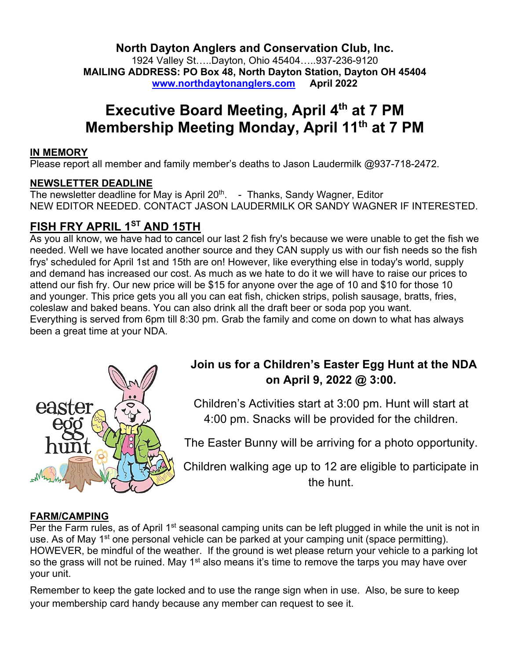**North Dayton Anglers and Conservation Club, Inc.**

1924 Valley St…..Dayton, Ohio 45404…..937-236-9120 **MAILING ADDRESS: PO Box 48, North Dayton Station, Dayton OH 45404 www.northdaytonanglers.com April 2022**

# **Executive Board Meeting, April 4th at 7 PM Membership Meeting Monday, April 11th at 7 PM**

#### **IN MEMORY**

Please report all member and family member's deaths to Jason Laudermilk @937-718-2472.

### **NEWSLETTER DEADLINE**

The newsletter deadline for May is April 20<sup>th</sup>. - Thanks, Sandy Wagner, Editor NEW EDITOR NEEDED. CONTACT JASON LAUDERMILK OR SANDY WAGNER IF INTERESTED.

## **FISH FRY APRIL 1ST AND 15TH**

As you all know, we have had to cancel our last 2 fish fry's because we were unable to get the fish we needed. Well we have located another source and they CAN supply us with our fish needs so the fish frys' scheduled for April 1st and 15th are on! However, like everything else in today's world, supply and demand has increased our cost. As much as we hate to do it we will have to raise our prices to attend our fish fry. Our new price will be \$15 for anyone over the age of 10 and \$10 for those 10 and younger. This price gets you all you can eat fish, chicken strips, polish sausage, bratts, fries, coleslaw and baked beans. You can also drink all the draft beer or soda pop you want. Everything is served from 6pm till 8:30 pm. Grab the family and come on down to what has always been a great time at your NDA.



## **Join us for a Children's Easter Egg Hunt at the NDA on April 9, 2022 @ 3:00.**

Children's Activities start at 3:00 pm. Hunt will start at 4:00 pm. Snacks will be provided for the children.

The Easter Bunny will be arriving for a photo opportunity.

Children walking age up to 12 are eligible to participate in the hunt.

### **FARM/CAMPING**

Per the Farm rules, as of April 1<sup>st</sup> seasonal camping units can be left plugged in while the unit is not in use. As of May 1<sup>st</sup> one personal vehicle can be parked at your camping unit (space permitting). HOWEVER, be mindful of the weather. If the ground is wet please return your vehicle to a parking lot so the grass will not be ruined. May 1<sup>st</sup> also means it's time to remove the tarps you may have over your unit.

Remember to keep the gate locked and to use the range sign when in use. Also, be sure to keep your membership card handy because any member can request to see it.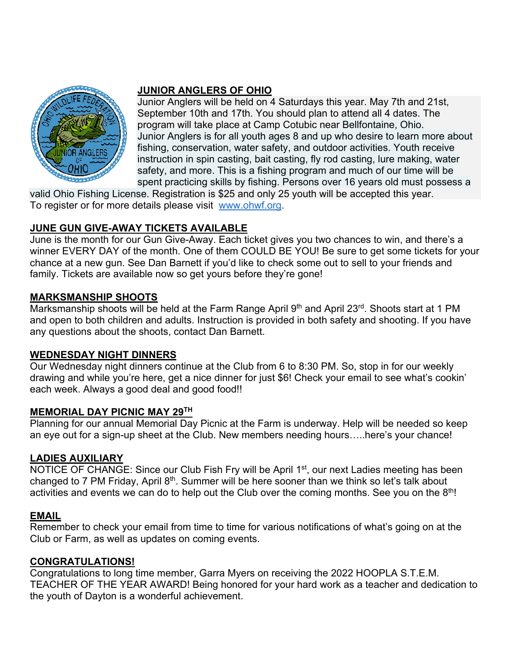

#### **JUNIOR ANGLERS OF OHIO**

Junior Anglers will be held on 4 Saturdays this year. May 7th and 21st, September 10th and 17th. You should plan to attend all 4 dates. The program will take place at Camp Cotubic near Bellfontaine, Ohio. Junior Anglers is for all youth ages 8 and up who desire to learn more about fishing, conservation, water safety, and outdoor activities. Youth receive instruction in spin casting, bait casting, fly rod casting, lure making, water safety, and more. This is a fishing program and much of our time will be spent practicing skills by fishing. Persons over 16 years old must possess a

valid Ohio Fishing License. Registration is \$25 and only 25 youth will be accepted this year. To register or for more details please visit www.ohwf.org.

### **JUNE GUN GIVE-AWAY TICKETS AVAILABLE**

June is the month for our Gun Give-Away. Each ticket gives you two chances to win, and there's a winner EVERY DAY of the month. One of them COULD BE YOU! Be sure to get some tickets for your chance at a new gun. See Dan Barnett if you'd like to check some out to sell to your friends and family. Tickets are available now so get yours before they're gone!

#### **MARKSMANSHIP SHOOTS**

Marksmanship shoots will be held at the Farm Range April 9<sup>th</sup> and April 23<sup>rd</sup>. Shoots start at 1 PM and open to both children and adults. Instruction is provided in both safety and shooting. If you have any questions about the shoots, contact Dan Barnett.

### **WEDNESDAY NIGHT DINNERS**

Our Wednesday night dinners continue at the Club from 6 to 8:30 PM. So, stop in for our weekly drawing and while you're here, get a nice dinner for just \$6! Check your email to see what's cookin' each week. Always a good deal and good food!!

#### **MEMORIAL DAY PICNIC MAY 29TH**

Planning for our annual Memorial Day Picnic at the Farm is underway. Help will be needed so keep an eye out for a sign-up sheet at the Club. New members needing hours…..here's your chance!

### **LADIES AUXILIARY**

NOTICE OF CHANGE: Since our Club Fish Fry will be April 1<sup>st</sup>, our next Ladies meeting has been changed to 7 PM Friday, April 8<sup>th</sup>. Summer will be here sooner than we think so let's talk about activities and events we can do to help out the Club over the coming months. See you on the  $8<sup>th</sup>!$ 

### **EMAIL**

Remember to check your email from time to time for various notifications of what's going on at the Club or Farm, as well as updates on coming events.

### **CONGRATULATIONS!**

Congratulations to long time member, Garra Myers on receiving the 2022 HOOPLA S.T.E.M. TEACHER OF THE YEAR AWARD! Being honored for your hard work as a teacher and dedication to the youth of Dayton is a wonderful achievement.